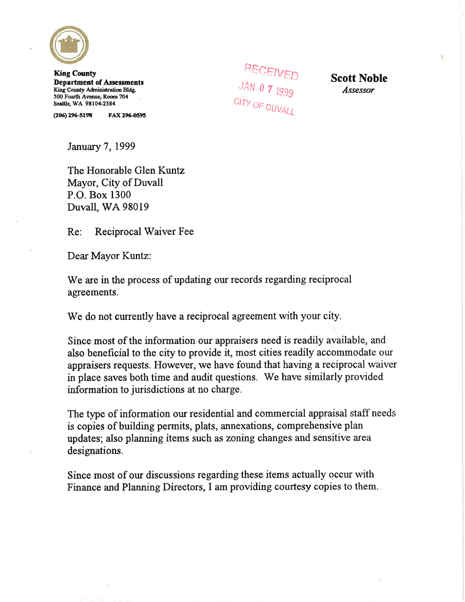

**King County Department of Assessments** King County Administration Bldg. 500 Fourth Avenue, Room 704 Seattle, WA 98104-2384

 $(206)$  296-5198 FAX 296-0595 **RECEIVED**<br>JAN 0 7 1999<br>CITY OF DUVALL

**Scott Noble Assessor** 

January 7, 1999

The Honorable Glen Kuntz Mayor, City of Duvall P.O. Box 1300 **Duvall, WA 98019** 

Reciprocal Waiver Fee  $Re:$ 

Dear Mayor Kuntz:

We are in the process of updating our records regarding reciprocal agreements.

We do not currently have a reciprocal agreement with your city.

Since most of the information our appraisers need is readily available, and also beneficial to the city to provide it, most cities readily accommodate our appraisers requests. However, we have found that having a reciprocal waiver in place saves both time and audit questions. We have similarly provided information to jurisdictions at no charge.

The type of information our residential and commercial appraisal staff needs is copies of building permits, plats, annexations, comprehensive plan updates; also planning items such as zoning changes and sensitive area designations.

Since most of our discussions regarding these items actually occur with Finance and Planning Directors, I am providing courtesy copies to them.